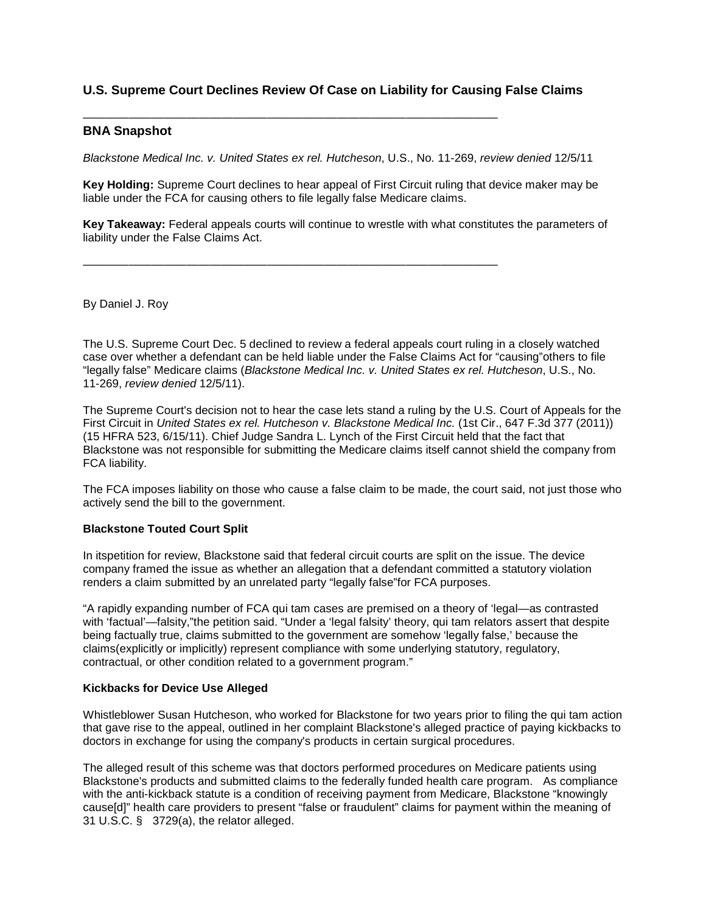# **U.S. Supreme Court Declines Review Of Case on Liability for Causing False Claims**

#### ———————————————————————————————————— **BNA Snapshot**

*Blackstone Medical Inc. v. United States ex rel. Hutcheson*, U.S., No. 11-269, *review denied* 12/5/11

**Key Holding:** Supreme Court declines to hear appeal of First Circuit ruling that device maker may be liable under the FCA for causing others to file legally false Medicare claims.

**Key Takeaway:** Federal appeals courts will continue to wrestle with what constitutes the parameters of liability under the False Claims Act.

————————————————————————————————————

By Daniel J. Roy

The U.S. Supreme Court Dec. 5 declined to review a federal appeals court ruling in a closely watched case over whether a defendant can be held liable under the False Claims Act for "causing"others to file "legally false" Medicare claims (*Blackstone Medical Inc. v. United States ex rel. Hutcheson*, U.S., No. 11-269, *review denied* 12/5/11).

The Supreme Court's decision not to hear the case lets stand a ruling by the U.S. Court of Appeals for the First Circuit in *United States ex rel. Hutcheson v. Blackstone Medical Inc.* (1st Cir., 647 F.3d 377 (2011)) (15 HFRA 523, 6/15/11). Chief Judge Sandra L. Lynch of the First Circuit held that the fact that Blackstone was not responsible for submitting the Medicare claims itself cannot shield the company from FCA liability.

The FCA imposes liability on those who cause a false claim to be made, the court said, not just those who actively send the bill to the government.

## **Blackstone Touted Court Split**

In itspetition for review, Blackstone said that federal circuit courts are split on the issue. The device company framed the issue as whether an allegation that a defendant committed a statutory violation renders a claim submitted by an unrelated party "legally false"for FCA purposes.

"A rapidly expanding number of FCA qui tam cases are premised on a theory of 'legal—as contrasted with 'factual'—falsity,"the petition said. "Under a 'legal falsity' theory, qui tam relators assert that despite being factually true, claims submitted to the government are somehow 'legally false,' because the claims(explicitly or implicitly) represent compliance with some underlying statutory, regulatory, contractual, or other condition related to a government program."

#### **Kickbacks for Device Use Alleged**

Whistleblower Susan Hutcheson, who worked for Blackstone for two years prior to filing the qui tam action that gave rise to the appeal, outlined in her complaint Blackstone's alleged practice of paying kickbacks to doctors in exchange for using the company's products in certain surgical procedures.

The alleged result of this scheme was that doctors performed procedures on Medicare patients using Blackstone's products and submitted claims to the federally funded health care program. As compliance with the anti-kickback statute is a condition of receiving payment from Medicare, Blackstone "knowingly cause[d]" health care providers to present "false or fraudulent" claims for payment within the meaning of 31 U.S.C. § 3729(a), the relator alleged.